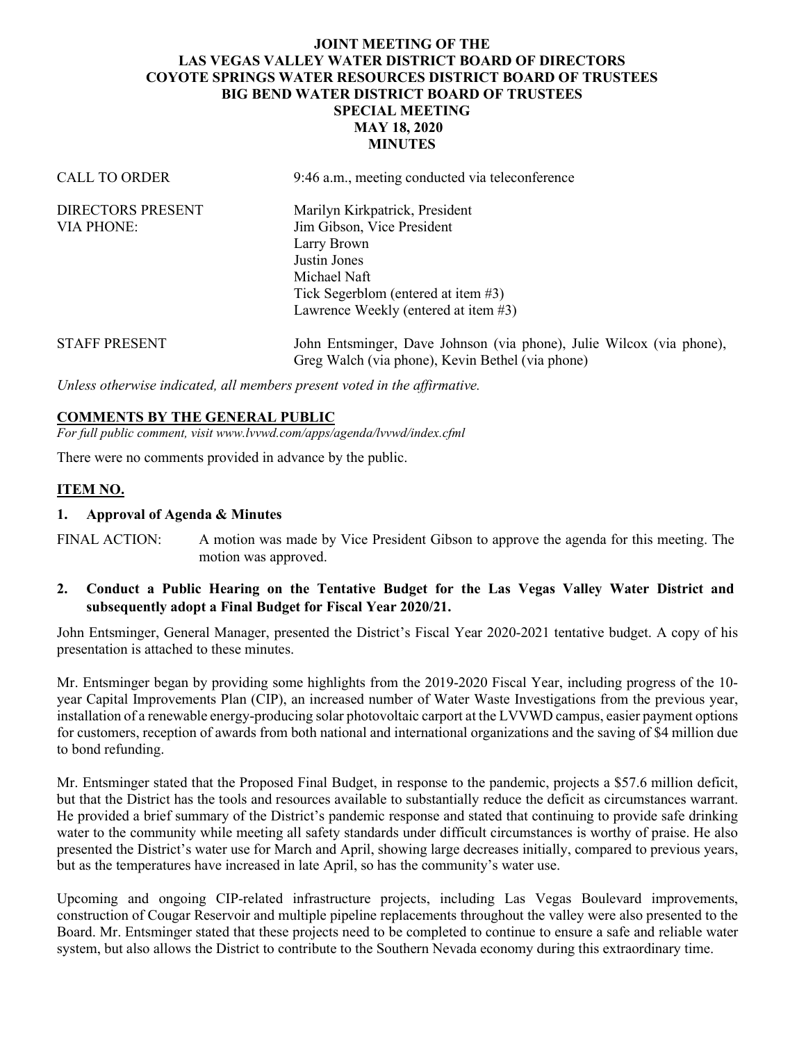## **JOINT MEETING OF THE LAS VEGAS VALLEY WATER DISTRICT BOARD OF DIRECTORS COYOTE SPRINGS WATER RESOURCES DISTRICT BOARD OF TRUSTEES BIG BEND WATER DISTRICT BOARD OF TRUSTEES SPECIAL MEETING MAY 18, 2020 MINUTES**

| <b>CALL TO ORDER</b>     | 9:46 a.m., meeting conducted via teleconference                                                                          |
|--------------------------|--------------------------------------------------------------------------------------------------------------------------|
| <b>DIRECTORS PRESENT</b> | Marilyn Kirkpatrick, President                                                                                           |
| <b>VIA PHONE:</b>        | Jim Gibson, Vice President                                                                                               |
|                          | Larry Brown                                                                                                              |
|                          | Justin Jones                                                                                                             |
|                          | Michael Naft                                                                                                             |
|                          | Tick Segerblom (entered at item $#3$ )                                                                                   |
|                          | Lawrence Weekly (entered at item $\#3$ )                                                                                 |
| <b>STAFF PRESENT</b>     | John Entsminger, Dave Johnson (via phone), Julie Wilcox (via phone),<br>Greg Walch (via phone), Kevin Bethel (via phone) |
|                          |                                                                                                                          |

*Unless otherwise indicated, all members present voted in the affirmative.*

#### **COMMENTS BY THE GENERAL PUBLIC**

*For full public comment, visit www.lvvwd.com/apps/agenda/lvvwd/index.cfml*

There were no comments provided in advance by the public.

#### **ITEM NO.**

#### **1. Approval of Agenda & Minutes**

FINAL ACTION: A motion was made by Vice President Gibson to approve the agenda for this meeting. The motion was approved.

## **2. Conduct a Public Hearing on the Tentative Budget for the Las Vegas Valley Water District and subsequently adopt a Final Budget for Fiscal Year 2020/21.**

John Entsminger, General Manager, presented the District's Fiscal Year 2020-2021 tentative budget. A copy of his presentation is attached to these minutes.

Mr. Entsminger began by providing some highlights from the 2019-2020 Fiscal Year, including progress of the 10 year Capital Improvements Plan (CIP), an increased number of Water Waste Investigations from the previous year, installation of a renewable energy-producing solar photovoltaic carport at the LVVWD campus, easier payment options for customers, reception of awards from both national and international organizations and the saving of \$4 million due to bond refunding.

Mr. Entsminger stated that the Proposed Final Budget, in response to the pandemic, projects a \$57.6 million deficit, but that the District has the tools and resources available to substantially reduce the deficit as circumstances warrant. He provided a brief summary of the District's pandemic response and stated that continuing to provide safe drinking water to the community while meeting all safety standards under difficult circumstances is worthy of praise. He also presented the District's water use for March and April, showing large decreases initially, compared to previous years, but as the temperatures have increased in late April, so has the community's water use.

Upcoming and ongoing CIP-related infrastructure projects, including Las Vegas Boulevard improvements, construction of Cougar Reservoir and multiple pipeline replacements throughout the valley were also presented to the Board. Mr. Entsminger stated that these projects need to be completed to continue to ensure a safe and reliable water system, but also allows the District to contribute to the Southern Nevada economy during this extraordinary time.